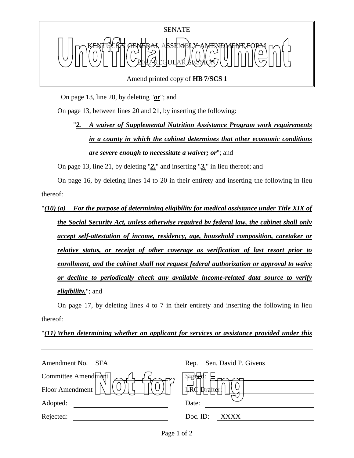

Amend printed copy of **HB 7/SCS 1**

On page 13, line 20, by deleting "*or*"; and

On page 13, between lines 20 and 21, by inserting the following:

"*2. A waiver of Supplemental Nutrition Assistance Program work requirements in a county in which the cabinet determines that other economic conditions are severe enough to necessitate a waiver; or*"; and

On page 13, line 21, by deleting "*2.*" and inserting "*3.*" in lieu thereof; and

On page 16, by deleting lines 14 to 20 in their entirety and inserting the following in lieu thereof:

"*(10) (a) For the purpose of determining eligibility for medical assistance under Title XIX of the Social Security Act, unless otherwise required by federal law, the cabinet shall only accept self-attestation of income, residency, age, household composition, caretaker or relative status, or receipt of other coverage as verification of last resort prior to enrollment, and the cabinet shall not request federal authorization or approval to waive or decline to periodically check any available income-related data source to verify eligibility.*"; and

On page 17, by deleting lines 4 to 7 in their entirety and inserting the following in lieu thereof:

"*(11) When determining whether an applicant for services or assistance provided under this* 

| Amendment No.<br>SFA | Sen. David P. Givens<br>Rep. |
|----------------------|------------------------------|
| Committee Amendment  |                              |
| Floor Amendment      | <b>LRC</b><br>1ei            |
| Adopted:             | Date:                        |
| Rejected:            | Doc. ID:<br>XXXX             |